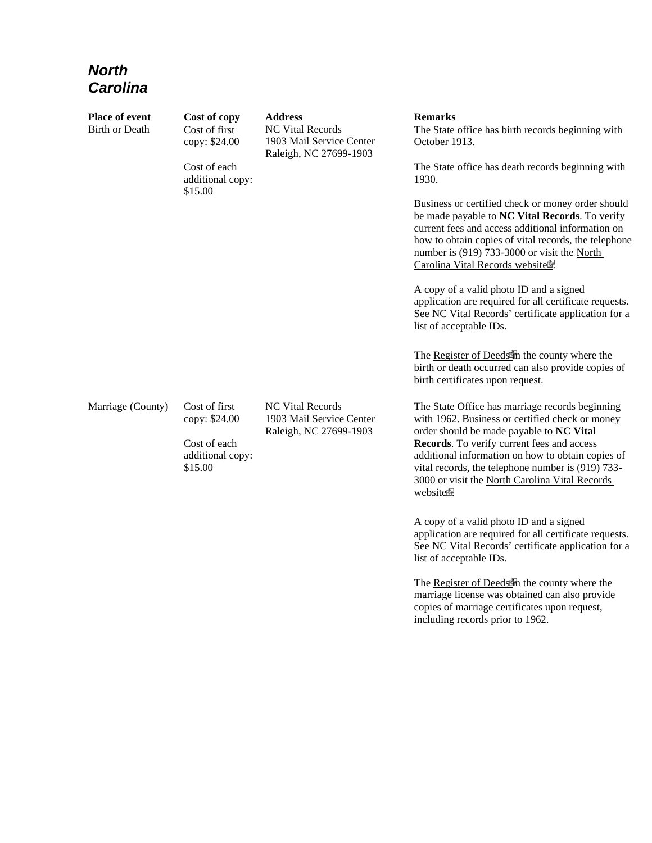## *North Carolina*

| Place of event<br><b>Birth or Death</b> | Cost of copy<br>Cost of first<br>copy: \$24.00 | <b>Address</b><br><b>NC Vital Records</b><br>1903 Mail Service Center<br>Raleigh, NC 27699-1903 | <b>Remarks</b><br>The State office has birth records beginning with<br>October 1913.                                                                                                                                                                                                                |
|-----------------------------------------|------------------------------------------------|-------------------------------------------------------------------------------------------------|-----------------------------------------------------------------------------------------------------------------------------------------------------------------------------------------------------------------------------------------------------------------------------------------------------|
|                                         | Cost of each<br>additional copy:<br>\$15.00    |                                                                                                 | The State office has death records beginning with<br>1930.                                                                                                                                                                                                                                          |
|                                         |                                                |                                                                                                 | Business or certified check or money order should<br>be made payable to NC Vital Records. To verify<br>current fees and access additional information on<br>how to obtain copies of vital records, the telephone<br>number is (919) 733-3000 or visit the North<br>Carolina Vital Records websiter. |
|                                         |                                                |                                                                                                 | A copy of a valid photo ID and a signed<br>application are required for all certificate requests.<br>See NC Vital Records' certificate application for a<br>list of acceptable IDs.                                                                                                                 |
|                                         |                                                |                                                                                                 | The Register of Deeds in the county where the<br>birth or death occurred can also provide copies of<br>birth certificates upon request.                                                                                                                                                             |
| Marriage (County)                       | Cost of first<br>copy: \$24.00                 | <b>NC Vital Records</b><br>1903 Mail Service Center<br>Raleigh, NC 27699-1903                   | The State Office has marriage records beginning<br>with 1962. Business or certified check or money<br>order should be made payable to NC Vital                                                                                                                                                      |
|                                         | Cost of each<br>additional copy:<br>\$15.00    |                                                                                                 | Records. To verify current fees and access<br>additional information on how to obtain copies of<br>vital records, the telephone number is (919) 733-<br>3000 or visit the North Carolina Vital Records<br>websiter?                                                                                 |
|                                         |                                                |                                                                                                 | A copy of a valid photo ID and a signed<br>application are required for all certificate requests.                                                                                                                                                                                                   |

See NC Vital Records' certificate application for a list of acceptable IDs.

The Register of Deeds in the county where the marriage license was obtained can also provide copies of marriage certificates upon request, including records prior to 1962.